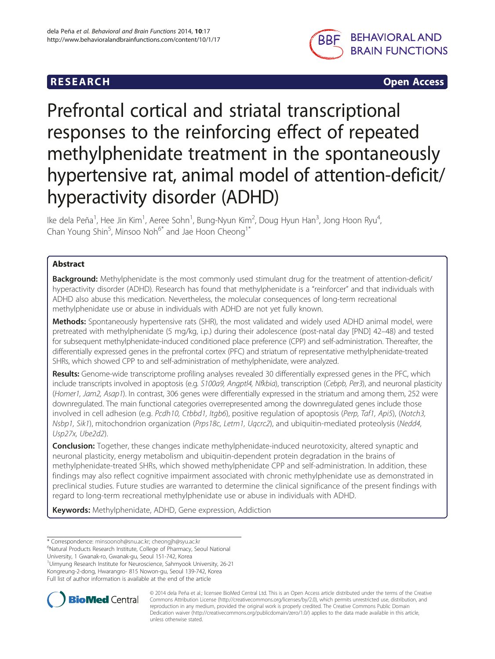

**RESEARCH CHINESE ARCH CHINESE ARCH CHINESE ARCH** 

# Prefrontal cortical and striatal transcriptional responses to the reinforcing effect of repeated methylphenidate treatment in the spontaneously hypertensive rat, animal model of attention-deficit/ hyperactivity disorder (ADHD)

Ike dela Peña<sup>1</sup>, Hee Jin Kim<sup>1</sup>, Aeree Sohn<sup>1</sup>, Bung-Nyun Kim<sup>2</sup>, Doug Hyun Han<sup>3</sup>, Jong Hoon Ryu<sup>4</sup> , Chan Young Shin<sup>5</sup>, Minsoo Noh<sup>6\*</sup> and Jae Hoon Cheong<sup>1\*</sup>

# Abstract

**Background:** Methylphenidate is the most commonly used stimulant drug for the treatment of attention-deficit/ hyperactivity disorder (ADHD). Research has found that methylphenidate is a "reinforcer" and that individuals with ADHD also abuse this medication. Nevertheless, the molecular consequences of long-term recreational methylphenidate use or abuse in individuals with ADHD are not yet fully known.

Methods: Spontaneously hypertensive rats (SHR), the most validated and widely used ADHD animal model, were pretreated with methylphenidate (5 mg/kg, i.p.) during their adolescence (post-natal day [PND] 42–48) and tested for subsequent methylphenidate-induced conditioned place preference (CPP) and self-administration. Thereafter, the differentially expressed genes in the prefrontal cortex (PFC) and striatum of representative methylphenidate-treated SHRs, which showed CPP to and self-administration of methylphenidate, were analyzed.

Results: Genome-wide transcriptome profiling analyses revealed 30 differentially expressed genes in the PFC, which include transcripts involved in apoptosis (e.g. S100a9, Angptl4, Nfkbia), transcription (Cebpb, Per3), and neuronal plasticity (Homer1, Jam2, Asap1). In contrast, 306 genes were differentially expressed in the striatum and among them, 252 were downregulated. The main functional categories overrepresented among the downregulated genes include those involved in cell adhesion (e.g. Pcdh10, Ctbbd1, Itgb6), positive regulation of apoptosis (Perp, Taf1, Api5), (Notch3, Nsbp1, Sik1), mitochondrion organization (Prps18c, Letm1, Uqcrc2), and ubiquitin-mediated proteolysis (Nedd4, Usp27x, Ube2d2).

**Conclusion:** Together, these changes indicate methylphenidate-induced neurotoxicity, altered synaptic and neuronal plasticity, energy metabolism and ubiquitin-dependent protein degradation in the brains of methylphenidate-treated SHRs, which showed methylphenidate CPP and self-administration. In addition, these findings may also reflect cognitive impairment associated with chronic methylphenidate use as demonstrated in preclinical studies. Future studies are warranted to determine the clinical significance of the present findings with regard to long-term recreational methylphenidate use or abuse in individuals with ADHD.

Keywords: Methylphenidate, ADHD, Gene expression, Addiction

University, 1 Gwanak-ro, Gwanak-gu, Seoul 151-742, Korea

1 Uimyung Research Institute for Neuroscience, Sahmyook University, 26-21 Kongreung-2-dong, Hwarangro- 815 Nowon-gu, Seoul 139-742, Korea Full list of author information is available at the end of the article



© 2014 dela Peña et al.; licensee BioMed Central Ltd. This is an Open Access article distributed under the terms of the Creative Commons Attribution License [\(http://creativecommons.org/licenses/by/2.0\)](http://creativecommons.org/licenses/by/2.0), which permits unrestricted use, distribution, and reproduction in any medium, provided the original work is properly credited. The Creative Commons Public Domain Dedication waiver [\(http://creativecommons.org/publicdomain/zero/1.0/](http://creativecommons.org/publicdomain/zero/1.0/)) applies to the data made available in this article, unless otherwise stated.

<sup>\*</sup> Correspondence: [minsoonoh@snu.ac.kr](mailto:minsoonoh@snu.ac.kr); [cheongjh@syu.ac.kr](mailto:cheongjh@syu.ac.kr) <sup>6</sup>

<sup>&</sup>lt;sup>6</sup>Natural Products Research Institute, College of Pharmacy, Seoul National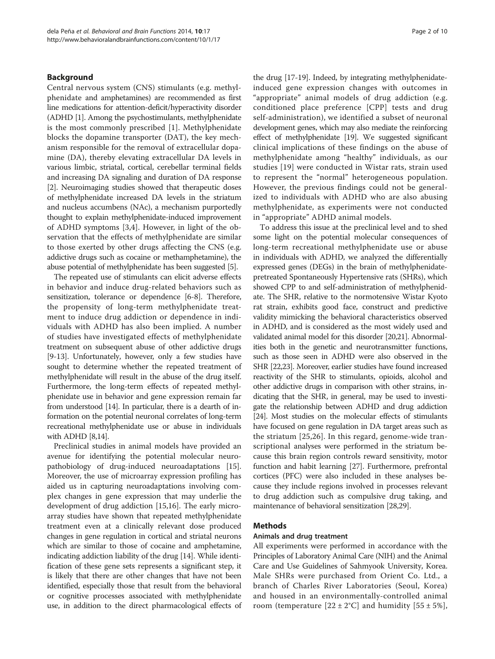#### Background

Central nervous system (CNS) stimulants (e.g. methylphenidate and amphetamines) are recommended as first line medications for attention-deficit/hyperactivity disorder (ADHD [\[1](#page-8-0)]. Among the psychostimulants, methylphenidate is the most commonly prescribed [[1](#page-8-0)]. Methylphenidate blocks the dopamine transporter (DAT), the key mechanism responsible for the removal of extracellular dopamine (DA), thereby elevating extracellular DA levels in various limbic, striatal, cortical, cerebellar terminal fields and increasing DA signaling and duration of DA response [[2\]](#page-8-0). Neuroimaging studies showed that therapeutic doses of methylphenidate increased DA levels in the striatum and nucleus accumbens (NAc), a mechanism purportedly thought to explain methylphenidate-induced improvement of ADHD symptoms [[3,4\]](#page-8-0). However, in light of the observation that the effects of methylphenidate are similar to those exerted by other drugs affecting the CNS (e.g. addictive drugs such as cocaine or methamphetamine), the abuse potential of methylphenidate has been suggested [[5](#page-8-0)].

The repeated use of stimulants can elicit adverse effects in behavior and induce drug-related behaviors such as sensitization, tolerance or dependence [\[6](#page-8-0)-[8\]](#page-8-0). Therefore, the propensity of long-term methylphenidate treatment to induce drug addiction or dependence in individuals with ADHD has also been implied. A number of studies have investigated effects of methylphenidate treatment on subsequent abuse of other addictive drugs [[9-13\]](#page-8-0). Unfortunately, however, only a few studies have sought to determine whether the repeated treatment of methylphenidate will result in the abuse of the drug itself. Furthermore, the long-term effects of repeated methylphenidate use in behavior and gene expression remain far from understood [[14](#page-8-0)]. In particular, there is a dearth of information on the potential neuronal correlates of long-term recreational methylphenidate use or abuse in individuals with ADHD [\[8,14](#page-8-0)].

Preclinical studies in animal models have provided an avenue for identifying the potential molecular neuropathobiology of drug-induced neuroadaptations [\[15](#page-8-0)]. Moreover, the use of microarray expression profiling has aided us in capturing neuroadaptations involving complex changes in gene expression that may underlie the development of drug addiction [[15](#page-8-0),[16](#page-8-0)]. The early microarray studies have shown that repeated methylphenidate treatment even at a clinically relevant dose produced changes in gene regulation in cortical and striatal neurons which are similar to those of cocaine and amphetamine, indicating addiction liability of the drug [\[14\]](#page-8-0). While identification of these gene sets represents a significant step, it is likely that there are other changes that have not been identified, especially those that result from the behavioral or cognitive processes associated with methylphenidate use, in addition to the direct pharmacological effects of the drug [\[17](#page-8-0)-[19](#page-8-0)]. Indeed, by integrating methylphenidateinduced gene expression changes with outcomes in "appropriate" animal models of drug addiction (e.g. conditioned place preference [CPP] tests and drug self-administration), we identified a subset of neuronal development genes, which may also mediate the reinforcing effect of methylphenidate [\[19\]](#page-8-0). We suggested significant clinical implications of these findings on the abuse of methylphenidate among "healthy" individuals, as our studies [[19\]](#page-8-0) were conducted in Wistar rats, strain used to represent the "normal" heterogeneous population. However, the previous findings could not be generalized to individuals with ADHD who are also abusing methylphenidate, as experiments were not conducted in "appropriate" ADHD animal models.

To address this issue at the preclinical level and to shed some light on the potential molecular consequences of long-term recreational methylphenidate use or abuse in individuals with ADHD, we analyzed the differentially expressed genes (DEGs) in the brain of methylphenidatepretreated Spontaneously Hypertensive rats (SHRs), which showed CPP to and self-administration of methylphenidate. The SHR, relative to the normotensive Wistar Kyoto rat strain, exhibits good face, construct and predictive validity mimicking the behavioral characteristics observed in ADHD, and is considered as the most widely used and validated animal model for this disorder [[20,21\]](#page-8-0). Abnormalities both in the genetic and neurotransmitter functions, such as those seen in ADHD were also observed in the SHR [\[22,23](#page-8-0)]. Moreover, earlier studies have found increased reactivity of the SHR to stimulants, opioids, alcohol and other addictive drugs in comparison with other strains, indicating that the SHR, in general, may be used to investigate the relationship between ADHD and drug addiction [[24](#page-8-0)]. Most studies on the molecular effects of stimulants have focused on gene regulation in DA target areas such as the striatum [\[25](#page-8-0),[26](#page-8-0)]. In this regard, genome-wide transcriptional analyses were performed in the striatum because this brain region controls reward sensitivity, motor function and habit learning [[27](#page-8-0)]. Furthermore, prefrontal cortices (PFC) were also included in these analyses because they include regions involved in processes relevant to drug addiction such as compulsive drug taking, and maintenance of behavioral sensitization [\[28,29\]](#page-8-0).

#### Methods

# Animals and drug treatment

All experiments were performed in accordance with the Principles of Laboratory Animal Care (NIH) and the Animal Care and Use Guidelines of Sahmyook University, Korea. Male SHRs were purchased from Orient Co. Ltd., a branch of Charles River Laboratories (Seoul, Korea) and housed in an environmentally-controlled animal room (temperature  $[22 \pm 2^{\circ}C]$  and humidity  $[55 \pm 5\%]$ ,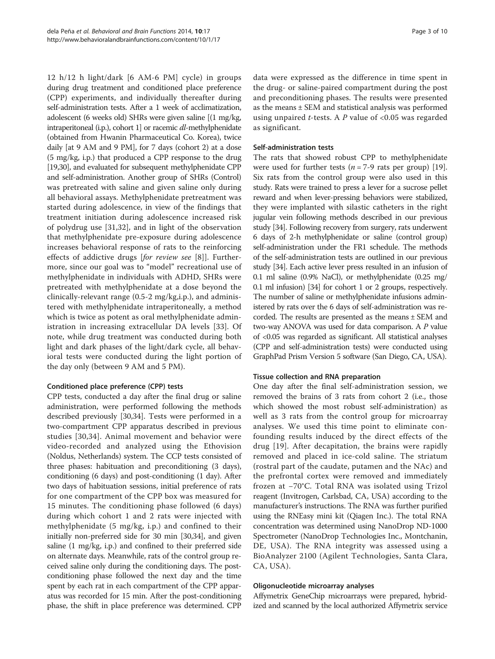12 h/12 h light/dark [6 AM-6 PM] cycle) in groups during drug treatment and conditioned place preference (CPP) experiments, and individually thereafter during self-administration tests. After a 1 week of acclimatization, adolescent (6 weeks old) SHRs were given saline [(1 mg/kg, intraperitoneal (i.p.), cohort 1] or racemic dl-methylphenidate (obtained from Hwanin Pharmaceutical Co. Korea), twice daily [at 9 AM and 9 PM], for 7 days (cohort 2) at a dose (5 mg/kg, i.p.) that produced a CPP response to the drug [[19,30\]](#page-8-0), and evaluated for subsequent methylphenidate CPP and self-administration. Another group of SHRs (Control) was pretreated with saline and given saline only during all behavioral assays. Methylphenidate pretreatment was started during adolescence, in view of the findings that treatment initiation during adolescence increased risk of polydrug use [\[31](#page-8-0),[32\]](#page-9-0), and in light of the observation that methylphenidate pre-exposure during adolescence increases behavioral response of rats to the reinforcing effects of addictive drugs [for review see [[8\]](#page-8-0)]. Furthermore, since our goal was to "model" recreational use of methylphenidate in individuals with ADHD, SHRs were pretreated with methylphenidate at a dose beyond the clinically-relevant range (0.5-2 mg/kg,i.p.), and administered with methylphenidate intraperitoneally, a method which is twice as potent as oral methylphenidate administration in increasing extracellular DA levels [[33](#page-9-0)]. Of note, while drug treatment was conducted during both light and dark phases of the light/dark cycle, all behavioral tests were conducted during the light portion of the day only (between 9 AM and 5 PM).

# Conditioned place preference (CPP) tests

CPP tests, conducted a day after the final drug or saline administration, were performed following the methods described previously [[30,](#page-8-0)[34\]](#page-9-0). Tests were performed in a two-compartment CPP apparatus described in previous studies [[30](#page-8-0)[,34\]](#page-9-0). Animal movement and behavior were video-recorded and analyzed using the Ethovision (Noldus, Netherlands) system. The CCP tests consisted of three phases: habituation and preconditioning (3 days), conditioning (6 days) and post-conditioning (1 day). After two days of habituation sessions, initial preference of rats for one compartment of the CPP box was measured for 15 minutes. The conditioning phase followed (6 days) during which cohort 1 and 2 rats were injected with methylphenidate (5 mg/kg, i.p.) and confined to their initially non-preferred side for 30 min [\[30](#page-8-0)[,34\]](#page-9-0), and given saline (1 mg/kg, i.p.) and confined to their preferred side on alternate days. Meanwhile, rats of the control group received saline only during the conditioning days. The postconditioning phase followed the next day and the time spent by each rat in each compartment of the CPP apparatus was recorded for 15 min. After the post-conditioning phase, the shift in place preference was determined. CPP

data were expressed as the difference in time spent in the drug- or saline-paired compartment during the post and preconditioning phases. The results were presented as the means ± SEM and statistical analysis was performed using unpaired *t*-tests. A  $P$  value of <0.05 was regarded as significant.

# Self-administration tests

The rats that showed robust CPP to methylphenidate were used for further tests ( $n = 7-9$  rats per group) [\[19](#page-8-0)]. Six rats from the control group were also used in this study. Rats were trained to press a lever for a sucrose pellet reward and when lever-pressing behaviors were stabilized, they were implanted with silastic catheters in the right jugular vein following methods described in our previous study [\[34\]](#page-9-0). Following recovery from surgery, rats underwent 6 days of 2-h methylphenidate or saline (control group) self-administration under the FR1 schedule. The methods of the self-administration tests are outlined in our previous study [\[34\]](#page-9-0). Each active lever press resulted in an infusion of 0.1 ml saline (0.9% NaCl), or methylphenidate (0.25 mg/ 0.1 ml infusion) [\[34\]](#page-9-0) for cohort 1 or 2 groups, respectively. The number of saline or methylphenidate infusions administered by rats over the 6 days of self-administration was recorded. The results are presented as the means ± SEM and two-way ANOVA was used for data comparison. A P value of <0.05 was regarded as significant. All statistical analyses (CPP and self-administration tests) were conducted using GraphPad Prism Version 5 software (San Diego, CA, USA).

#### Tissue collection and RNA preparation

One day after the final self-administration session, we removed the brains of 3 rats from cohort 2 (i.e., those which showed the most robust self-administration) as well as 3 rats from the control group for microarray analyses. We used this time point to eliminate confounding results induced by the direct effects of the drug [[19](#page-8-0)]. After decapitation, the brains were rapidly removed and placed in ice-cold saline. The striatum (rostral part of the caudate, putamen and the NAc) and the prefrontal cortex were removed and immediately frozen at −70°C. Total RNA was isolated using Trizol reagent (Invitrogen, Carlsbad, CA, USA) according to the manufacturer's instructions. The RNA was further purified using the RNEasy mini kit (Qiagen Inc.). The total RNA concentration was determined using NanoDrop ND-1000 Spectrometer (NanoDrop Technologies Inc., Montchanin, DE, USA). The RNA integrity was assessed using a BioAnalyzer 2100 (Agilent Technologies, Santa Clara, CA, USA).

#### Oligonucleotide microarray analyses

Affymetrix GeneChip microarrays were prepared, hybridized and scanned by the local authorized Affymetrix service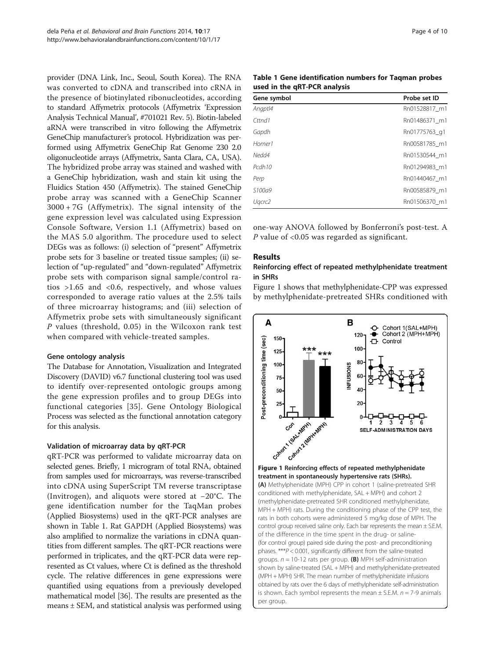<span id="page-3-0"></span>provider (DNA Link, Inc., Seoul, South Korea). The RNA was converted to cDNA and transcribed into cRNA in the presence of biotinylated ribonucleotides, according to standard Affymetrix protocols (Affymetrix 'Expression Analysis Technical Manual', #701021 Rev. 5). Biotin-labeled aRNA were transcribed in vitro following the Affymetrix GeneChip manufacturer's protocol. Hybridization was performed using Affymetrix GeneChip Rat Genome 230 2.0 oligonucleotide arrays (Affymetrix, Santa Clara, CA, USA). The hybridized probe array was stained and washed with a GeneChip hybridization, wash and stain kit using the Fluidics Station 450 (Affymetrix). The stained GeneChip probe array was scanned with a GeneChip Scanner 3000 + 7G (Affymetrix). The signal intensity of the gene expression level was calculated using Expression Console Software, Version 1.1 (Affymetrix) based on the MAS 5.0 algorithm. The procedure used to select DEGs was as follows: (i) selection of "present" Affymetrix probe sets for 3 baseline or treated tissue samples; (ii) selection of "up-regulated" and "down-regulated" Affymetrix probe sets with comparison signal sample/control ratios  $>1.65$  and  $< 0.6$ , respectively, and whose values corresponded to average ratio values at the 2.5% tails of three microarray histograms; and (iii) selection of Affymetrix probe sets with simultaneously significant P values (threshold, 0.05) in the Wilcoxon rank test when compared with vehicle-treated samples.

#### Gene ontology analysis

The Database for Annotation, Visualization and Integrated Discovery (DAVID) v6.7 functional clustering tool was used to identify over-represented ontologic groups among the gene expression profiles and to group DEGs into functional categories [[35](#page-9-0)]. Gene Ontology Biological Process was selected as the functional annotation category for this analysis.

# Validation of microarray data by qRT-PCR

qRT-PCR was performed to validate microarray data on selected genes. Briefly, 1 microgram of total RNA, obtained from samples used for microarrays, was reverse-transcribed into cDNA using SuperScript TM reverse transcriptase (Invitrogen), and aliquots were stored at −20°C. The gene identification number for the TaqMan probes (Applied Biosystems) used in the qRT-PCR analyses are shown in Table 1. Rat GAPDH (Applied Biosystems) was also amplified to normalize the variations in cDNA quantities from different samples. The qRT-PCR reactions were performed in triplicates, and the qRT-PCR data were represented as Ct values, where Ct is defined as the threshold cycle. The relative differences in gene expressions were quantified using equations from a previously developed mathematical model [[36](#page-9-0)]. The results are presented as the means ± SEM, and statistical analysis was performed using

| Table 1 Gene identification numbers for Tagman probes |  |
|-------------------------------------------------------|--|
| used in the qRT-PCR analysis                          |  |

| Gene symbol        | Probe set ID  |
|--------------------|---------------|
| Angptl4            | Rn01528817 m1 |
| Cttnd1             | Rn01486371 m1 |
| Gapdh              | Rn01775763 q1 |
| Homer1             | Rn00581785 m1 |
| Nedd4              | Rn01530544 m1 |
| Pcdh <sub>10</sub> | Rn01294983 m1 |
| Perp               | Rn01440467 m1 |
| S <sub>100a9</sub> | Rn00585879 m1 |
| Ugcrc2             | Rn01506370 m1 |

one-way ANOVA followed by Bonferroni's post-test. A P value of  $<$  0.05 was regarded as significant.

# Results

# Reinforcing effect of repeated methylphenidate treatment in SHRs

Figure 1 shows that methylphenidate-CPP was expressed by methylphenidate-pretreated SHRs conditioned with



treatment in spontaneously hypertensive rats (SHRs). (A) Methylphenidate (MPH) CPP in cohort 1 (saline-pretreated SHR conditioned with methylphenidate, SAL + MPH) and cohort 2 (methylphenidate-pretreated SHR conditioned methylphenidate, MPH + MPH) rats. During the conditioning phase of the CPP test, the rats in both cohorts were administered 5 mg/kg dose of MPH. The control group received saline only. Each bar represents the mean ± S.E.M. of the difference in the time spent in the drug- or saline- (for control group) paired side during the post- and preconditioning phases.  $***P$  < 0.001, significantly different from the saline-treated groups.  $n = 10-12$  rats per group. (B) MPH self-administration shown by saline-treated (SAL + MPH) and methylphenidate-pretreated (MPH + MPH) SHR. The mean number of methylphenidate infusions obtained by rats over the 6 days of methylphenidate self-administration is shown. Each symbol represents the mean  $\pm$  S.E.M.  $n = 7$ -9 animals per group.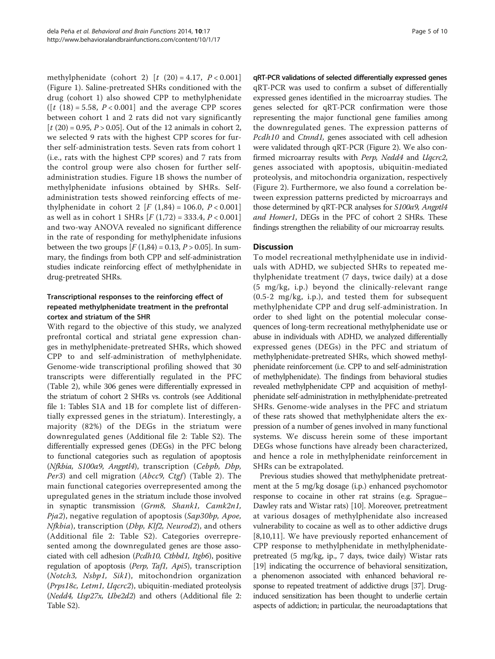methylphenidate (cohort 2)  $[t (20) = 4.17, P < 0.001]$ (Figure [1](#page-3-0)). Saline-pretreated SHRs conditioned with the drug (cohort 1) also showed CPP to methylphenidate  $([t (18) = 5.58, P < 0.001]$  and the average CPP scores between cohort 1 and 2 rats did not vary significantly  $[t (20) = 0.95, P > 0.05]$ . Out of the 12 animals in cohort 2, we selected 9 rats with the highest CPP scores for further self-administration tests. Seven rats from cohort 1 (i.e., rats with the highest CPP scores) and 7 rats from the control group were also chosen for further selfadministration studies. Figure [1B](#page-3-0) shows the number of methylphenidate infusions obtained by SHRs. Selfadministration tests showed reinforcing effects of methylphenidate in cohort 2  $[F (1,84) = 106.0, P < 0.001]$ as well as in cohort 1 SHRs  $[F(1,72) = 333.4, P < 0.001]$ and two-way ANOVA revealed no significant difference in the rate of responding for methylphenidate infusions between the two groups  $[F(1,84) = 0.13, P > 0.05]$ . In summary, the findings from both CPP and self-administration studies indicate reinforcing effect of methylphenidate in drug-pretreated SHRs.

# Transcriptional responses to the reinforcing effect of repeated methylphenidate treatment in the prefrontal cortex and striatum of the SHR

With regard to the objective of this study, we analyzed prefrontal cortical and striatal gene expression changes in methylphenidate-pretreated SHRs, which showed CPP to and self-administration of methylphenidate. Genome-wide transcriptional profiling showed that 30 transcripts were differentially regulated in the PFC (Table [2\)](#page-5-0), while 306 genes were differentially expressed in the striatum of cohort 2 SHRs vs. controls (see Additional file [1:](#page-8-0) Tables S1A and 1B for complete list of differentially expressed genes in the striatum). Interestingly, a majority (82%) of the DEGs in the striatum were downregulated genes (Additional file [2](#page-8-0): Table S2). The differentially expressed genes (DEGs) in the PFC belong to functional categories such as regulation of apoptosis (Nfkbia, S100a9, Angptl4), transcription (Cebpb, Dbp, Per3) and cell migration (Abcc9, Ctgf) (Table [2](#page-5-0)). The main functional categories overrepresented among the upregulated genes in the striatum include those involved in synaptic transmission (Grm8, Shank1, Camk2n1, Pja2), negative regulation of apoptosis (Sap30bp, Apoe,  $Nfkbia$ , transcription (*Dbp, Klf2, Neurod2*), and others (Additional file [2:](#page-8-0) Table S2). Categories overrepresented among the downregulated genes are those associated with cell adhesion (Pcdh10, Ctbbd1, Itgb6), positive regulation of apoptosis (Perp, Taf1, Api5), transcription (Notch3, Nsbp1, Sik1), mitochondrion organization (Prps18c, Letm1, Uqcrc2), ubiquitin-mediated proteolysis (Nedd4, Usp27x, Ube2d2) and others (Additional file [2](#page-8-0): Table S2).

qRT-PCR validations of selected differentially expressed genes qRT-PCR was used to confirm a subset of differentially expressed genes identified in the microarray studies. The genes selected for qRT-PCR confirmation were those representing the major functional gene families among the downregulated genes. The expression patterns of Pcdh10 and Ctnnd1, genes associated with cell adhesion were validated through qRT-PCR (Figure [2](#page-6-0)). We also confirmed microarray results with Perp, Nedd4 and Uqcrc2, genes associated with apoptosis, ubiquitin-mediated proteolysis, and mitochondria organization, respectively (Figure [2](#page-6-0)). Furthermore, we also found a correlation between expression patterns predicted by microarrays and those determined by qRT-PCR analyses for S100a9, Angptl4 and Homer1, DEGs in the PFC of cohort 2 SHRs. These findings strengthen the reliability of our microarray results.

# **Discussion**

To model recreational methylphenidate use in individuals with ADHD, we subjected SHRs to repeated methylphenidate treatment (7 days, twice daily) at a dose (5 mg/kg, i.p.) beyond the clinically-relevant range (0.5-2 mg/kg, i.p.), and tested them for subsequent methylphenidate CPP and drug self-administration. In order to shed light on the potential molecular consequences of long-term recreational methylphenidate use or abuse in individuals with ADHD, we analyzed differentially expressed genes (DEGs) in the PFC and striatum of methylphenidate-pretreated SHRs, which showed methylphenidate reinforcement (i.e. CPP to and self-administration of methylphenidate). The findings from behavioral studies revealed methylphenidate CPP and acquisition of methylphenidate self-administration in methylphenidate-pretreated SHRs. Genome-wide analyses in the PFC and striatum of these rats showed that methylphenidate alters the expression of a number of genes involved in many functional systems. We discuss herein some of these important DEGs whose functions have already been characterized, and hence a role in methylphenidate reinforcement in SHRs can be extrapolated.

Previous studies showed that methylphenidate pretreatment at the 5 mg/kg dosage (i.p.) enhanced psychomotor response to cocaine in other rat strains (e.g. Sprague– Dawley rats and Wistar rats) [\[10\]](#page-8-0). Moreover, pretreatment at various dosages of methylphenidate also increased vulnerability to cocaine as well as to other addictive drugs [[8,10,11](#page-8-0)]. We have previously reported enhancement of CPP response to methylphenidate in methylphenidatepretreated (5 mg/kg, ip., 7 days, twice daily) Wistar rats [[19](#page-8-0)] indicating the occurrence of behavioral sensitization, a phenomenon associated with enhanced behavioral response to repeated treatment of addictive drugs [\[37](#page-9-0)]. Druginduced sensitization has been thought to underlie certain aspects of addiction; in particular, the neuroadaptations that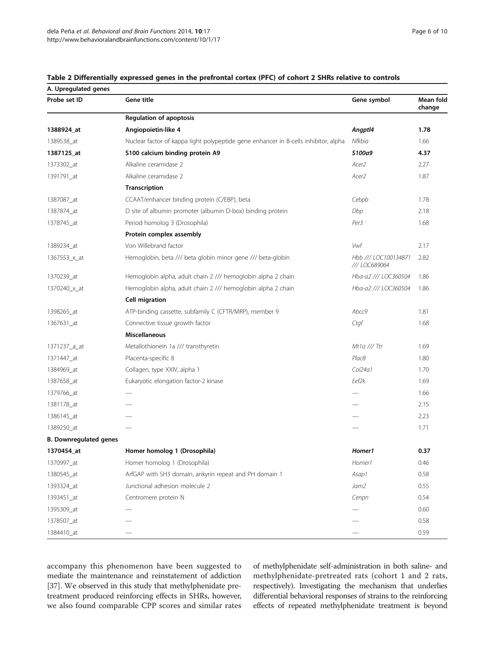| A. Upregulated genes          |                                                                                     |                                       |                     |
|-------------------------------|-------------------------------------------------------------------------------------|---------------------------------------|---------------------|
| Probe set ID                  | Gene title                                                                          | Gene symbol                           | Mean fold<br>change |
|                               | <b>Regulation of apoptosis</b>                                                      |                                       |                     |
| 1388924_at                    | Angiopoietin-like 4                                                                 | Angptl4                               | 1.78                |
| 1389538_at                    | Nuclear factor of kappa light polypeptide gene enhancer in B-cells inhibitor, alpha | Nfkbia                                | 1.66                |
| 1387125_at                    | S100 calcium binding protein A9                                                     | S100a9                                | 4.37                |
| 1373302_at                    | Alkaline ceramidase 2                                                               | Acer <sub>2</sub>                     | 2.27                |
| 1391791_at                    | Alkaline ceramidase 2                                                               | Acer <sub>2</sub>                     | 1.87                |
|                               | Transcription                                                                       |                                       |                     |
| 1387087_at                    | CCAAT/enhancer binding protein (C/EBP), beta                                        | Cebpb                                 | 1.78                |
| 1387874_at                    | D site of albumin promoter (albumin D-box) binding protein                          | Dbp                                   | 2.18                |
| 1378745_at                    | Period homolog 3 (Drosophila)                                                       | Per <sub>3</sub>                      | 1.68                |
|                               | Protein complex assembly                                                            |                                       |                     |
| 1389234_at                    | Von Willebrand factor                                                               | Vwf                                   | 2.17                |
| 1367553_x_at                  | Hemoglobin, beta /// beta globin minor gene /// beta-globin                         | Hbb /// LOC100134871<br>/// LOC689064 | 2.82                |
| 1370239_at                    | Hemoglobin alpha, adult chain 2 /// hemoglobin alpha 2 chain                        | Hba-a2 /// LOC360504                  | 1.86                |
| 1370240_x_at                  | Hemoglobin alpha, adult chain 2 /// hemoglobin alpha 2 chain                        | Hba-a2 /// LOC360504                  | 1.86                |
|                               | <b>Cell migration</b>                                                               |                                       |                     |
| 1398265_at                    | ATP-binding cassette, subfamily C (CFTR/MRP), member 9                              | Abcc9                                 | 1.81                |
| 1367631_at                    | Connective tissue growth factor                                                     | Ctgf                                  | 1.68                |
|                               | <b>Miscellaneous</b>                                                                |                                       |                     |
| 1371237_a_at                  | Metallothionein 1a /// transthyretin                                                | Mt1a /// Ttr                          | 1.69                |
| 1371447_at                    | Placenta-specific 8                                                                 | Plac8                                 | 1.80                |
| 1384969_at                    | Collagen, type XXIV, alpha 1                                                        | Col24a1                               | 1.70                |
| 1387658_at                    | Eukaryotic elongation factor-2 kinase                                               | Eef2k                                 | 1.69                |
| 1379766_at                    |                                                                                     |                                       | 1.66                |
| 1381178_at                    |                                                                                     |                                       | 2.15                |
| 1386145_at                    |                                                                                     |                                       | 2.23                |
| 1389250_at                    |                                                                                     |                                       | 1.71                |
| <b>B. Downregulated genes</b> |                                                                                     |                                       |                     |
| 1370454_at                    | Homer homolog 1 (Drosophila)                                                        | Homer1                                | 0.37                |
| 1370997_at                    | Homer homolog 1 (Drosophila)                                                        | Homer1                                | 0.46                |
| 1380545_at                    | ArfGAP with SH3 domain, ankyrin repeat and PH domain 1                              | Asap1                                 | 0.58                |
| 1393324_at                    | Junctional adhesion molecule 2                                                      | Jam2                                  | 0.55                |
| 1393451_at                    | Centromere protein N                                                                | Cenpn                                 | 0.54                |
| 1395309_at                    |                                                                                     |                                       | 0.60                |
| 1378507_at                    |                                                                                     |                                       | 0.58                |
| 1384410_at                    |                                                                                     |                                       | 0.59                |

<span id="page-5-0"></span>

accompany this phenomenon have been suggested to mediate the maintenance and reinstatement of addiction [[37](#page-9-0)]. We observed in this study that methylphenidate pretreatment produced reinforcing effects in SHRs, however, we also found comparable CPP scores and similar rates of methylphenidate self-administration in both saline- and methylphenidate-pretreated rats (cohort 1 and 2 rats, respectively). Investigating the mechanism that underlies differential behavioral responses of strains to the reinforcing effects of repeated methylphenidate treatment is beyond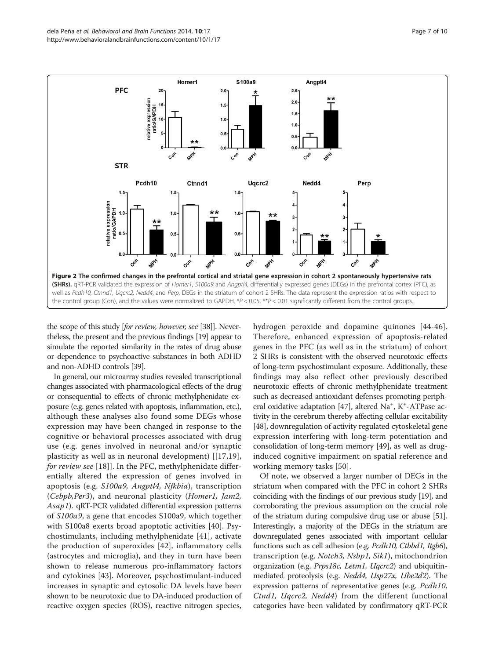<span id="page-6-0"></span>

the scope of this study [for review, however, see [[38](#page-9-0)]]. Nevertheless, the present and the previous findings [[19\]](#page-8-0) appear to simulate the reported similarity in the rates of drug abuse or dependence to psychoactive substances in both ADHD and non-ADHD controls [[39](#page-9-0)].

In general, our microarray studies revealed transcriptional changes associated with pharmacological effects of the drug or consequential to effects of chronic methylphenidate exposure (e.g. genes related with apoptosis, inflammation, etc.), although these analyses also found some DEGs whose expression may have been changed in response to the cognitive or behavioral processes associated with drug use (e.g. genes involved in neuronal and/or synaptic plasticity as well as in neuronal development) [[\[17,19](#page-8-0)], for review see [\[18\]](#page-8-0)]. In the PFC, methylphenidate differentially altered the expression of genes involved in apoptosis (e.g. S100a9, Angptl4, Nfkbia), transcription (Cebpb,Per3), and neuronal plasticity (Homer1, Jam2, Asap1). qRT-PCR validated differential expression patterns of S100a9, a gene that encodes S100a9, which together with S100a8 exerts broad apoptotic activities [[40](#page-9-0)]. Psychostimulants, including methylphenidate [[41\]](#page-9-0), activate the production of superoxides [[42\]](#page-9-0), inflammatory cells (astrocytes and microglia), and they in turn have been shown to release numerous pro-inflammatory factors and cytokines [\[43](#page-9-0)]. Moreover, psychostimulant-induced increases in synaptic and cytosolic DA levels have been shown to be neurotoxic due to DA-induced production of reactive oxygen species (ROS), reactive nitrogen species,

hydrogen peroxide and dopamine quinones [[44](#page-9-0)-[46](#page-9-0)]. Therefore, enhanced expression of apoptosis-related genes in the PFC (as well as in the striatum) of cohort 2 SHRs is consistent with the observed neurotoxic effects of long-term psychostimulant exposure. Additionally, these findings may also reflect other previously described neurotoxic effects of chronic methylphenidate treatment such as decreased antioxidant defenses promoting periph-eral oxidative adaptation [[47](#page-9-0)], altered Na<sup>+</sup>, K<sup>+</sup>-ATPase activity in the cerebrum thereby affecting cellular excitability [[48](#page-9-0)], downregulation of activity regulated cytoskeletal gene expression interfering with long-term potentiation and consolidation of long-term memory [\[49\]](#page-9-0), as well as druginduced cognitive impairment on spatial reference and working memory tasks [[50](#page-9-0)].

Of note, we observed a larger number of DEGs in the striatum when compared with the PFC in cohort 2 SHRs coinciding with the findings of our previous study [[19](#page-8-0)], and corroborating the previous assumption on the crucial role of the striatum during compulsive drug use or abuse [\[51](#page-9-0)]. Interestingly, a majority of the DEGs in the striatum are downregulated genes associated with important cellular functions such as cell adhesion (e.g. Pcdh10, Ctbbd1, Itgb6), transcription (e.g. Notch3, Nsbp1, Sik1), mitochondrion organization (e.g. Prps18c, Letm1, Uqcrc2) and ubiquitinmediated proteolysis (e.g. Nedd4, Usp27x, Ube2d2). The expression patterns of representative genes (e.g. Pcdh10, Ctnd1, Uqcrc2, Nedd4) from the different functional categories have been validated by confirmatory qRT-PCR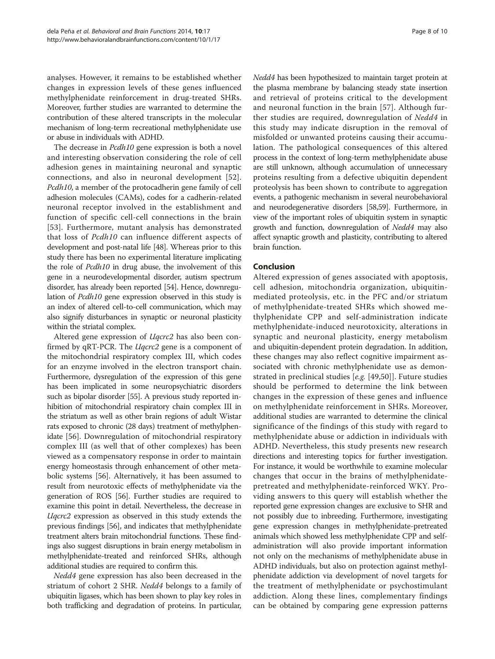analyses. However, it remains to be established whether changes in expression levels of these genes influenced methylphenidate reinforcement in drug-treated SHRs. Moreover, further studies are warranted to determine the contribution of these altered transcripts in the molecular mechanism of long-term recreational methylphenidate use or abuse in individuals with ADHD.

The decrease in *Pcdh10* gene expression is both a novel and interesting observation considering the role of cell adhesion genes in maintaining neuronal and synaptic connections, and also in neuronal development [[52](#page-9-0)]. Pcdh10, a member of the protocadherin gene family of cell adhesion molecules (CAMs), codes for a cadherin-related neuronal receptor involved in the establishment and function of specific cell-cell connections in the brain [[53](#page-9-0)]. Furthermore, mutant analysis has demonstrated that loss of Pcdh10 can influence different aspects of development and post-natal life [[48\]](#page-9-0). Whereas prior to this study there has been no experimental literature implicating the role of Pcdh10 in drug abuse, the involvement of this gene in a neurodevelopmental disorder, autism spectrum disorder, has already been reported [\[54\]](#page-9-0). Hence, downregulation of Pcdh10 gene expression observed in this study is an index of altered cell-to-cell communication, which may also signify disturbances in synaptic or neuronal plasticity within the striatal complex.

Altered gene expression of Uqcrc2 has also been confirmed by qRT-PCR. The *Ugcrc2* gene is a component of the mitochondrial respiratory complex III, which codes for an enzyme involved in the electron transport chain. Furthermore, dysregulation of the expression of this gene has been implicated in some neuropsychiatric disorders such as bipolar disorder [\[55\]](#page-9-0). A previous study reported inhibition of mitochondrial respiratory chain complex III in the striatum as well as other brain regions of adult Wistar rats exposed to chronic (28 days) treatment of methylphenidate [\[56](#page-9-0)]. Downregulation of mitochondrial respiratory complex III (as well that of other complexes) has been viewed as a compensatory response in order to maintain energy homeostasis through enhancement of other metabolic systems [\[56\]](#page-9-0). Alternatively, it has been assumed to result from neurotoxic effects of methylphenidate via the generation of ROS [[56](#page-9-0)]. Further studies are required to examine this point in detail. Nevertheless, the decrease in Uqcrc2 expression as observed in this study extends the previous findings [\[56](#page-9-0)], and indicates that methylphenidate treatment alters brain mitochondrial functions. These findings also suggest disruptions in brain energy metabolism in methylphenidate-treated and reinforced SHRs, although additional studies are required to confirm this.

Nedd4 gene expression has also been decreased in the striatum of cohort 2 SHR. Nedd4 belongs to a family of ubiquitin ligases, which has been shown to play key roles in both trafficking and degradation of proteins. In particular, Nedd4 has been hypothesized to maintain target protein at the plasma membrane by balancing steady state insertion and retrieval of proteins critical to the development and neuronal function in the brain [\[57\]](#page-9-0). Although further studies are required, downregulation of Nedd4 in this study may indicate disruption in the removal of misfolded or unwanted proteins causing their accumulation. The pathological consequences of this altered process in the context of long-term methylphenidate abuse are still unknown, although accumulation of unnecessary proteins resulting from a defective ubiquitin dependent proteolysis has been shown to contribute to aggregation events, a pathogenic mechanism in several neurobehavioral and neurodegenerative disorders [[58,59\]](#page-9-0). Furthermore, in view of the important roles of ubiquitin system in synaptic growth and function, downregulation of Nedd4 may also affect synaptic growth and plasticity, contributing to altered brain function.

# Conclusion

Altered expression of genes associated with apoptosis, cell adhesion, mitochondria organization, ubiquitinmediated proteolysis, etc. in the PFC and/or striatum of methylphenidate-treated SHRs which showed methylphenidate CPP and self-administration indicate methylphenidate-induced neurotoxicity, alterations in synaptic and neuronal plasticity, energy metabolism and ubiquitin-dependent protein degradation. In addition, these changes may also reflect cognitive impairment associated with chronic methylphenidate use as demonstrated in preclinical studies [e.g. [[49,50](#page-9-0)]]. Future studies should be performed to determine the link between changes in the expression of these genes and influence on methylphenidate reinforcement in SHRs. Moreover, additional studies are warranted to determine the clinical significance of the findings of this study with regard to methylphenidate abuse or addiction in individuals with ADHD. Nevertheless, this study presents new research directions and interesting topics for further investigation. For instance, it would be worthwhile to examine molecular changes that occur in the brains of methylphenidatepretreated and methylphenidate-reinforced WKY. Providing answers to this query will establish whether the reported gene expression changes are exclusive to SHR and not possibly due to inbreeding. Furthermore, investigating gene expression changes in methylphenidate-pretreated animals which showed less methylphenidate CPP and selfadministration will also provide important information not only on the mechanisms of methylphenidate abuse in ADHD individuals, but also on protection against methylphenidate addiction via development of novel targets for the treatment of methylphenidate or psychostimulant addiction. Along these lines, complementary findings can be obtained by comparing gene expression patterns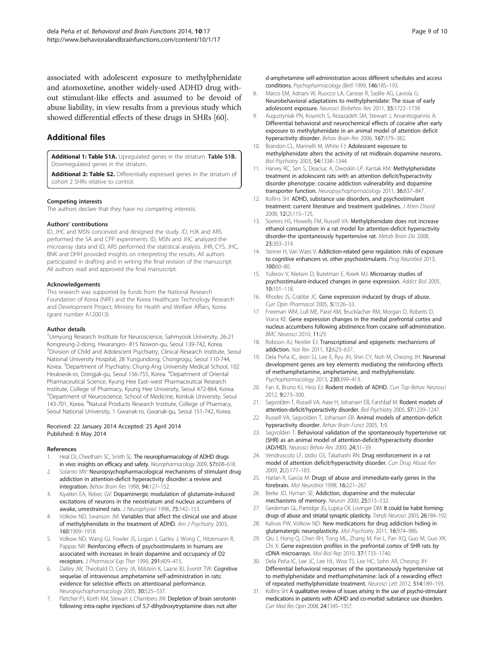<span id="page-8-0"></span>associated with adolescent exposure to methylphenidate and atomoxetine, another widely-used ADHD drug without stimulant-like effects and assumed to be devoid of abuse liability, in view results from a previous study which showed differential effects of these drugs in SHRs [\[60\]](#page-9-0).

# Additional files

[Additional 1: Table S1A.](http://www.biomedcentral.com/content/supplementary/1744-9081-10-17-S1.xls) Upregulated genes in the striatum. Table S1B. Downregulated genes in the striatum.

[Additional 2: Table S2.](http://www.biomedcentral.com/content/supplementary/1744-9081-10-17-S2.xls) Differentially expressed genes in the striatum of cohort 2 SHRs relative to control.

#### Competing interests

The authors declare that they have no competing interests.

#### Authors' contributions

ID, JHC and MSN conceived and designed the study. ID, HJK and ARS performed the SA and CPP experiments. ID, MSN and JHC analyzed the microarray data and ID, ARS performed the statistical analysis. JHR, CYS, JHC, BNK and DHH provided insights on interpreting the results. All authors participated in drafting and in writing the final revision of the manuscript. All authors read and approved the final manuscript.

#### Acknowledgements

This research was supported by funds from the National Research Foundation of Korea (NRF) and the Korea Healthcare Technology Research and Development Project, Ministry for Health and Welfare Affairs, Korea (grant number A120013).

#### Author details

<sup>1</sup>Uimyung Research Institute for Neuroscience, Sahmyook University, 26-21 Kongreung-2-dong, Hwarangro- 815 Nowon-gu, Seoul 139-742, Korea. 2 Division of Child and Adolescent Psychiatry, Clinical Research Institute, Seoul National University Hospital, 28 Yungundong, Chongrogu, Seoul 110-744, Korea. <sup>3</sup>Department of Psychiatry, Chung-Ang University Medical School, 102 Heukseok-ro, Dongjak-gu, Seoul 156-755, Korea. <sup>4</sup>Department of Oriental Pharmaceutical Science, Kyung Hee East–west Pharmaceutical Research Institute, College of Pharmacy, Kyung Hee University, Seoul 472-864, Korea. 5 Department of Neuroscience, School of Medicine, Konkuk University, Seoul 143-701, Korea. <sup>6</sup>Natural Products Research Institute, College of Pharmacy, Seoul National University, 1 Gwanak-ro, Gwanak-gu, Seoul 151-742, Korea.

#### Received: 22 January 2014 Accepted: 25 April 2014 Published: 6 May 2014

#### References

- 1. Heal DJ, Cheetham SC, Smith SL: The neuropharmacology of ADHD drugs in vivo: insights on efficacy and safety. Neuropharmacology 2009, 57:608-618.
- 2. Solanto MV: Neuropsychopharmacological mechanisms of stimulant drug addiction in attention-deficit hyperactivity disorder: a review and integration. Behav Brain Res 1998, 94:127–152.
- 3. Kiyatkin EA, Rebec GV: Dopaminergic modulation of glutamate-induced excitations of neurons in the neostriatum and nucleus accumbens of awake, unrestrained rats. J Neurophysiol 1996, 75:142–153.
- Volkow ND, Swanson JM: Variables that affect the clinical use and abuse of methylphenidate in the treatment of ADHD. Am J Psychiatry 2003, 160:1909–1918.
- 5. Volkow ND, Wang GJ, Fowler JS, Logan J, Gatley J, Wong C, Hitzemann R, Pappas NR: Reinforcing effects of psychostimulants in humans are associated with increases in brain dopamine and occupancy of D2 receptors. J Pharmacol Exp Ther 1999, 291:409–415.
- Dalley JW, Theobald D, Cerry JA, Milstein K, Laane BJ, Everitt TW: Cognitive sequelae of intravenous amphetamine self-administration in rats: evidence for selective effects on attentioanal performance. Neuropsychopharmacology 2005, 30:525–537.
- 7. Fletcher PJ, Korth KM, Stewart J, Chambers JW: Depletion of brain serotonin following intra-raphe injections of 5,7-dihydroxytryptamine does not alter

d-amphetamine self-administration across different schedules and access conditions. Psychopharmacology (Berl) 1999, 146:185–193.

- 8. Marco EM, Adriani W, Ruocco LA, Canese R, Sadile AG, Laviola G: Neurobehavioral adaptations to methylphenidate: The issue of early adolescent exposure. Neurosci Biobehav Rev 2011, 35:1722–1739.
- 9. Augustyniak PN, Kourrich S, Rezazadeh SM, Stewart J, Arvanitogiannis A: Differential behavioral and neurochemical effects of cocaine after early exposure to methylphenidate in an animal model of attention deficit hyperactivity disorder. Behav Brain Res 2006, 167:379–382.
- 10. Brandon CL, Marinelli M, White FJ: Adolescent exposure to methylphenidate alters the activity of rat midbrain dopamine neurons. Biol Psychiatry 2003, 54:1338–1344.
- 11. Harvey RC, Sen S, Deaciuc A, Dwoskin LP, Kantak KM: Methylphenidate treatment in adolescent rats with an attention deficit/hyperactivity disorder phenotype: cocaine addiction vulnerability and dopamine transporter function. Neuropsychopharmacology 2011, 36:837–847.
- 12. Kollins SH: ADHD, substance use disorders, and psychostimulant treatment: current literature and treatment guidelines. J Atten Disord 2008, 12(2):115–125.
- 13. Soeters HS, Howells FM, Russell VA: Methylphenidate does not increase ethanol consumption in a rat model for attention-deficit hyperactivity disorder-the spontaneously hypertensive rat. Metab Brain Dis 2008, 23:303–314.
- 14. Steiner H, Van Waes V: Addiction-related gene regulation: risks of exposure to cognitive enhancers vs. other psychostimulants. Prog Neurobiol 2013, 100:60–80.
- 15. Yuferov V, Nielsen D, Butelman E, Kreek MJ: Microarray studies of psychostimulant-induced changes in gene expression. Addict Biol 2005, 10:101–118.
- 16. Rhodes JS, Crabbe JC: Gene expression induced by drugs of abuse. Curr Opin Pharmacol 2005, 5(1):26–33.
- 17. Freeman WM, Lull ME, Patel KM, Brucklacher RM, Morgan D, Roberts D, Vrana KE: Gene expression changes in the medial prefrontal cortex and nucleus accumbens following abstinence from cocaine self-administration. BMC Neurosci 2010, 11:29.
- 18. Robison AJ, Nestler EJ: Transcriptional and epigenetic mechanisms of addiction. Nat Rev 2011, 12:623–637.
- 19. Dela Peña IC, Jeon SJ, Lee E, Ryu JH, Shin CY, Noh M, Cheong JH: Neuronal development genes are key elements mediating the reinforcing effects of methamphetamine, amphetamine, and methylphenidate. Psychopharmacology 2013, 230:399–413.
- 20. Fan X, Bruno KJ, Hess EJ: Rodent models of ADHD. Curr Top Behav Neurosci 2012, 9:273–300.
- 21. Sagvolden T, Russell VA, Aase H, Johansen EB, Farshbaf M: Rodent models of attention-deficit/hyperactivity disorder. Biol Psychiatry 2005, 57:1239–1247.
- 22. Russell VA, Sagvolden T, Johansen EB: Animal models of attention-deficit hyperactivity disorder. Behav Brain Funct 2005, 1:9.
- 23. Sagvolden T: Behavioral validation of the spontaneously hypertensive rat (SHR) as an animal model of attention-deficit/hyperactivity disorder (AD/HD). Neurosci Behav Rev 2000, 24:31–39.
- 24. Vendruscolo LF, Izidio GS, Takahashi RN: Drug reinforcement in a rat model of attention deficit/hyperactivity disorder. Curr Drug Abuse Rev 2009, 2(2):177–183.
- 25. Harlan R, Garcia M: Drugs of abuse and immediate-early genes in the forebrain. Mol Neurobiol 1998, 16:221–267.
- 26. Berke JD, Hyman SE: Addiction, dopamine and the molecular mechanisms of memory. Neuron 2000, 25:515–532.
- 27. Gerdeman GL, Partridge JG, Lupica CR, Lovinger DM: It could be habit forming: drugs of abuse and striatal synaptic plasticity. Trends Neurosci 2003, 26:184-192.
- 28. Kalivas PW, Volkow ND: New medications for drug addiction hiding in glutamatergic neuroplasticity. Mol Psychiatry 2011, 16:974-986
- 29. Qiu J, Hong Q, Chen RH, Tong ML, Zhang M, Fei L, Pan XQ, Guo M, Guo XR, Chi X: Gene expression profiles in the prefrontal cortex of SHR rats by cDNA microarrays. Mol Biol Rep 2010, 37:1733–1740.
- 30. Dela Peña IC, Lee JC, Lee HL, Woo TS, Lee HC, Sohn AR, Cheong JH: Differential behavioral responses of the spontaneously hypertensive rat to methylphenidate and methamphetamine: lack of a rewarding effect of repeated methylphenidate treatment. Neurosci Lett 2012, 514:189–193.
- 31. Kollins SH: A qualitative review of issues arising in the use of psycho-stimulant medications in patients with ADHD and co-morbid substance use disorders. Curr Med Res Opin 2008, 24:1345–1357.